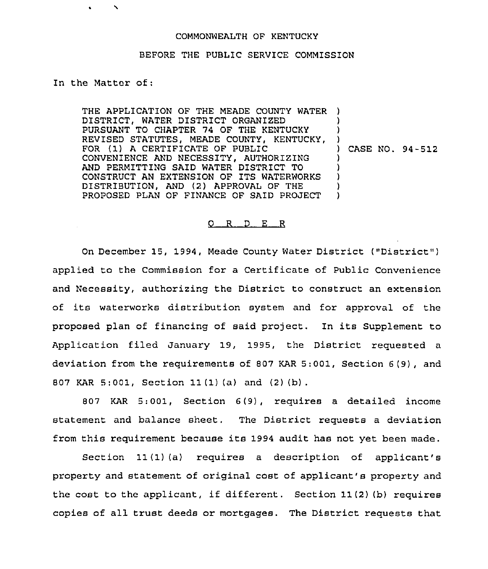## COMMONWEALTH OF KENTUCKY

## BEFORE THE PUBLIC SERVICE COMMISSION

## In the Matter of:

THE APPLICATION OF THE MEADE COUNTY WATER ) DISTRICT, WATER DISTRICT ORGANIZED PURSUANT TO CHAPTER 74 OF THE KENTUCKY REVISED STATUTES, MEADE COUNTY, KENTUCKY, FOR (1) <sup>A</sup> CERTIFICATE OF PUBLIC CONVENIENCE AND NECESSITY, AUTHORIZING AND PERMITTING SAID WATER DISTRICT TO CONSTRUCT AN EXTENSION OF ITS WATERWORKS DISTRIBUTION, AND (2) APPROVAL OF THE PROPOSED PLAN OF FINANCE OF SAID PROJECT ) ) ) ) CASE NO. 94-512 ) ) ) ) )

## $Q$  R  $D$  E R

On December 15, 1994, Meade County Water District ("District" ) applied to the Commission for a Certificate of Public Convenience and Necessity, authorizing the District to construct an extension of its waterworks distribution system and for approval of the proposed plan of financing of said project. In its Supplement to Application filed January 19, 1995, the District requested a deviation from the requirements of 807 KAR 5:001, Section 6(9), and 807 KAR 5:001, Section 11 (1) (a) and (2) (b) .

807 KAR 5:001, Section <sup>6</sup> (9), requires a detailed income statement and balance sheet. The District requests a deviation from this requirement because its 1994 audit has not yet been made.

Section 11(1)(a) requires a description of applicant's property and statement of original cost of applicant's property and the cost to the applicant, if different. Section 11(2)(b) requires copies of all trust deeds or mortgages. The District requests that